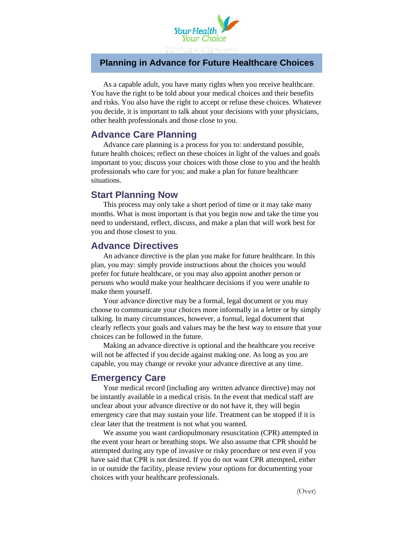

#### **Planning in Advance for Future Healthcare Choices**

As a capable adult, you have many rights when you receive healthcare. You have the right to be told about your medical choices and their benefits and risks. You also have the right to accept or refuse these choices. Whatever you decide, it is important to talk about your decisions with your physicians, other health professionals and those close to you.

### **Advance Care Planning**

Advance care planning is a process for you to: understand possible, future health choices; reflect on these choices in light of the values and goals important to you; discuss your choices with those close to you and the health professionals who care for you; and make a plan for future healthcare situations.

### **Start Planning Now**

This process may only take a short period of time or it may take many months. What is most important is that you begin now and take the time you need to understand, reflect, discuss, and make a plan that will work best for you and those closest to you.

### **Advance Directives**

An advance directive is the plan you make for future healthcare. In this plan, you may: simply provide instructions about the choices you would prefer for future healthcare, or you may also appoint another person or persons who would make your healthcare decisions if you were unable to make them yourself.

Your advance directive may be a formal, legal document or you may choose to communicate your choices more informally in a letter or by simply talking. In many circumstances, however, a formal, legal document that clearly reflects your goals and values may be the best way to ensure that your choices can be followed in the future.

Making an advance directive is optional and the healthcare you receive will not be affected if you decide against making one. As long as you are capable, you may change or revoke your advance directive at any time.

#### **Emergency Care**

Your medical record (including any written advance directive) may not be instantly available in a medical crisis. In the event that medical staff are unclear about your advance directive or do not have it, they will begin emergency care that may sustain your life. Treatment can be stopped if it is clear later that the treatment is not what you wanted.

We assume you want cardiopulmonary resuscitation (CPR) attempted in the event your heart or breathing stops. We also assume that CPR should be attempted during any type of invasive or risky procedure or test even if you have said that CPR is not desired. If you do not want CPR attempted, either in or outside the facility, please review your options for documenting your choices with your healthcare professionals.